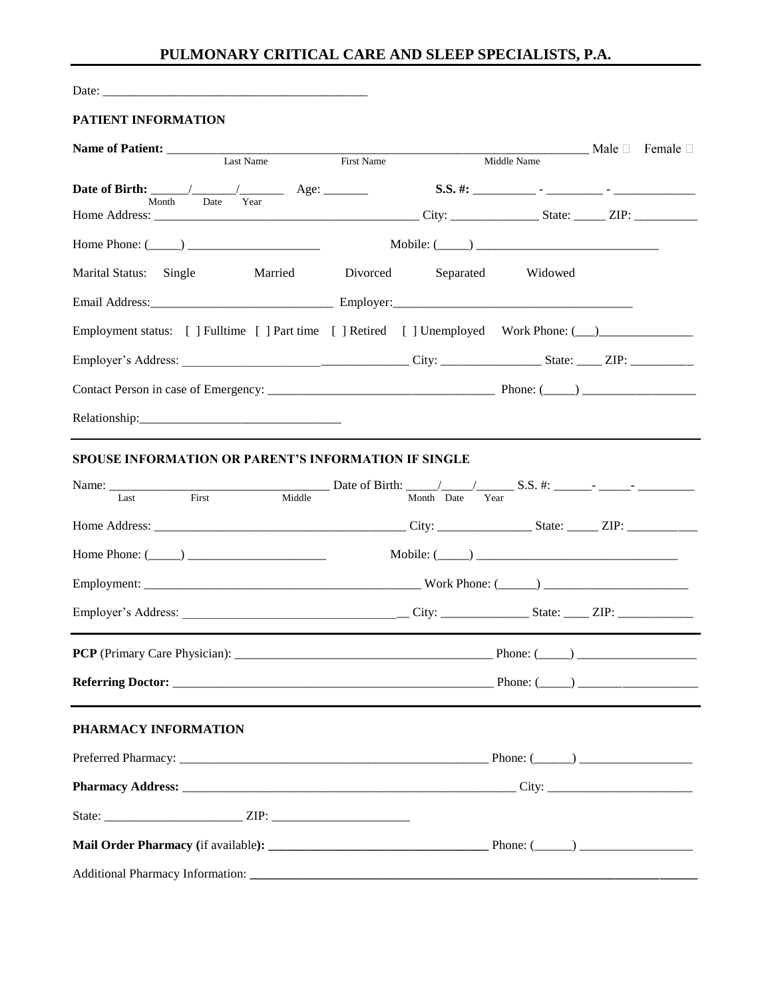## **PULMONARY CRITICAL CARE AND SLEEP SPECIALISTS, P.A.**

Date: \_\_\_\_\_\_\_\_\_\_\_\_\_\_\_\_\_\_\_\_\_\_\_\_\_\_\_\_\_\_\_\_\_\_\_\_\_\_\_\_\_\_

## **PATIENT INFORMATION**

|                                                                                          |                               |             |  | <u>Nale</u> D Female □ |  |
|------------------------------------------------------------------------------------------|-------------------------------|-------------|--|------------------------|--|
| Last Name                                                                                | <b>First Name</b>             | Middle Name |  |                        |  |
|                                                                                          |                               |             |  |                        |  |
| Date Year<br>Month                                                                       |                               |             |  |                        |  |
| Home Phone: $(\_\_)$                                                                     | Mobile: $(\_\_)$              |             |  |                        |  |
| Marital Status: Single                                                                   | Married Divorced<br>Separated | Widowed     |  |                        |  |
|                                                                                          |                               |             |  |                        |  |
| Employment status: [ ] Fulltime [ ] Part time [ ] Retired [ ] Unemployed Work Phone: (1) |                               |             |  |                        |  |
|                                                                                          |                               |             |  |                        |  |
|                                                                                          |                               |             |  |                        |  |
|                                                                                          |                               |             |  |                        |  |
| <b>SPOUSE INFORMATION OR PARENT'S INFORMATION IF SINGLE</b>                              |                               |             |  |                        |  |
|                                                                                          |                               |             |  |                        |  |
|                                                                                          |                               |             |  |                        |  |
| Home Phone: $(\_\_)$                                                                     | Mobile: $(\_\_)$              |             |  |                        |  |
|                                                                                          |                               |             |  |                        |  |
|                                                                                          |                               |             |  |                        |  |
|                                                                                          |                               |             |  |                        |  |
|                                                                                          |                               |             |  |                        |  |
| PHARMACY INFORMATION                                                                     |                               |             |  |                        |  |
|                                                                                          |                               |             |  |                        |  |
|                                                                                          |                               |             |  |                        |  |
|                                                                                          |                               |             |  |                        |  |
|                                                                                          |                               |             |  |                        |  |
|                                                                                          |                               |             |  |                        |  |